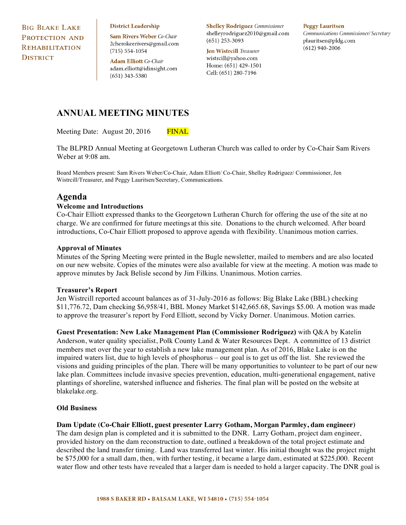**BIG BLAKE LAKE** PROTECTION AND **REHABILITATION DISTRICT** 

#### **District Leadership**

Sam Rivers Weber Co-Chair 2cherokeerivers@gmail.com  $(715) 554 - 1054$ 

**Adam Elliott** Co-Chair adam.elliott@idinsight.com  $(651)$  343-5380

**Shelley Rodriguez** Commissioner shelleyrodriguez2010@gmail.com  $(651)$  253-3093

**Jen Wistrcill Treasurer** wistrcill@yahoo.com Home: (651) 429-1501 Cell: (651) 280-7196

#### **Peggy Lauritsen**

Communications Commissioner/Secretary plauritsen@pldg.com  $(612)$  940-2006

## **ANNUAL MEETING MINUTES**

Meeting Date: August 20, 2016 FINAL

The BLPRD Annual Meeting at Georgetown Lutheran Church was called to order by Co-Chair Sam Rivers Weber at 9:08 am.

Board Members present: Sam Rivers Weber/Co-Chair, Adam Elliott/ Co-Chair, Shelley Rodriguez/ Commissioner, Jen Wistrcill/Treasurer, and Peggy Lauritsen/Secretary, Communications.

## **Agenda**

### **Welcome and Introductions**

Co-Chair Elliott expressed thanks to the Georgetown Lutheran Church for offering the use of the site at no charge. We are confirmed for future meetings at this site. Donations to the church welcomed. After board introductions, Co-Chair Elliott proposed to approve agenda with flexibility. Unanimous motion carries.

### **Approval of Minutes**

Minutes of the Spring Meeting were printed in the Bugle newsletter, mailed to members and are also located on our new website. Copies of the minutes were also available for view at the meeting. A motion was made to approve minutes by Jack Belisle second by Jim Filkins. Unanimous. Motion carries.

#### **Treasurer's Report**

Jen Wistrcill reported account balances as of 31-July-2016 as follows: Big Blake Lake (BBL) checking \$11,776.72, Dam checking \$6,958/41, BBL Money Market \$142,665.68, Savings \$5.00. A motion was made to approve the treasurer's report by Ford Elliott, second by Vicky Dorner. Unanimous. Motion carries.

**Guest Presentation: New Lake Management Plan (Commissioner Rodriguez)** with Q&A by Katelin Anderson, water quality specialist, Polk County Land & Water Resources Dept. A committee of 13 district members met over the year to establish a new lake management plan. As of 2016, Blake Lake is on the impaired waters list, due to high levels of phosphorus – our goal is to get us off the list. She reviewed the visions and guiding principles of the plan. There will be many opportunities to volunteer to be part of our new lake plan. Committees include invasive species prevention, education, multi-generational engagement, native plantings of shoreline, watershed influence and fisheries. The final plan will be posted on the website at blakelake.org.

## **Old Business**

### **Dam Update (Co-Chair Elliott, guest presenter Larry Gotham, Morgan Parmley, dam engineer)**

The dam design plan is completed and it is submitted to the DNR. Larry Gotham, project dam engineer, provided history on the dam reconstruction to date, outlined a breakdown of the total project estimate and described the land transfer timing. Land was transferred last winter. His initial thought was the project might be \$75,000 for a small dam, then, with further testing, it became a large dam, estimated at \$225,000. Recent water flow and other tests have revealed that a larger dam is needed to hold a larger capacity. The DNR goal is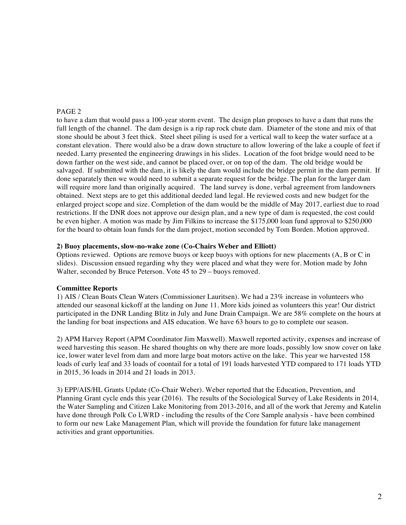## PAGE 2

to have a dam that would pass a 100-year storm event. The design plan proposes to have a dam that runs the full length of the channel. The dam design is a rip rap rock chute dam. Diameter of the stone and mix of that stone should be about 3 feet thick. Steel sheet piling is used for a vertical wall to keep the water surface at a constant elevation. There would also be a draw down structure to allow lowering of the lake a couple of feet if needed. Larry presented the engineering drawings in his slides. Location of the foot bridge would need to be down farther on the west side, and cannot be placed over, or on top of the dam. The old bridge would be salvaged. If submitted with the dam, it is likely the dam would include the bridge permit in the dam permit. If done separately then we would need to submit a separate request for the bridge. The plan for the larger dam will require more land than originally acquired. The land survey is done, verbal agreement from landowners obtained. Next steps are to get this additional deeded land legal. He reviewed costs and new budget for the enlarged project scope and size. Completion of the dam would be the middle of May 2017, earliest due to road restrictions. If the DNR does not approve our design plan, and a new type of dam is requested, the cost could be even higher. A motion was made by Jim Filkins to increase the \$175,000 loan fund approval to \$250,000 for the board to obtain loan funds for the dam project, motion seconded by Tom Borden. Motion approved.

### **2) Buoy placements, slow-no-wake zone (Co-Chairs Weber and Elliott)**

Options reviewed. Options are remove buoys or keep buoys with options for new placements (A, B or C in slides). Discussion ensued regarding why they were placed and what they were for. Motion made by John Walter, seconded by Bruce Peterson. Vote 45 to 29 – buoys removed.

## **Committee Reports**

1) AIS / Clean Boats Clean Waters (Commissioner Lauritsen). We had a 23% increase in volunteers who attended our seasonal kickoff at the landing on June 11. More kids joined as volunteers this year! Our district participated in the DNR Landing Blitz in July and June Drain Campaign. We are 58% complete on the hours at the landing for boat inspections and AIS education. We have 63 hours to go to complete our season.

2) APM Harvey Report (APM Coordinator Jim Maxwell). Maxwell reported activity, expenses and increase of weed harvesting this season. He shared thoughts on why there are more loads, possibly low snow cover on lake ice, lower water level from dam and more large boat motors active on the lake. This year we harvested 158 loads of curly leaf and 33 loads of coontail for a total of 191 loads harvested YTD compared to 171 loads YTD in 2015, 36 loads in 2014 and 21 loads in 2013.

3) EPP/AIS/HL Grants Update (Co-Chair Weber). Weber reported that the Education, Prevention, and Planning Grant cycle ends this year (2016). The results of the Sociological Survey of Lake Residents in 2014, the Water Sampling and Citizen Lake Monitoring from 2013-2016, and all of the work that Jeremy and Katelin have done through Polk Co LWRD - including the results of the Core Sample analysis - have been combined to form our new Lake Management Plan, which will provide the foundation for future lake management activities and grant opportunities.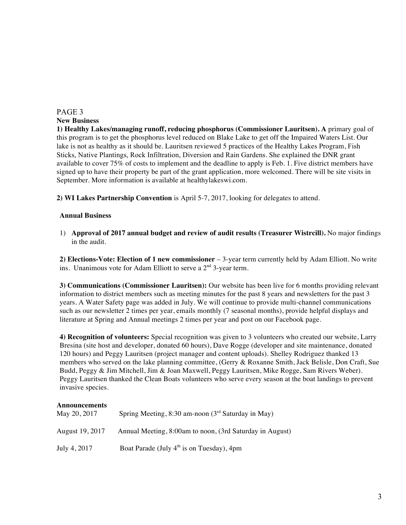# PAGE 3

**New Business**

**1) Healthy Lakes/managing runoff, reducing phosphorus (Commissioner Lauritsen). A** primary goal of this program is to get the phosphorus level reduced on Blake Lake to get off the Impaired Waters List. Our lake is not as healthy as it should be. Lauritsen reviewed 5 practices of the Healthy Lakes Program, Fish Sticks, Native Plantings, Rock Infiltration, Diversion and Rain Gardens. She explained the DNR grant available to cover 75% of costs to implement and the deadline to apply is Feb. 1. Five district members have signed up to have their property be part of the grant application, more welcomed. There will be site visits in September. More information is available at healthylakeswi.com.

**2) WI Lakes Partnership Convention** is April 5-7, 2017, looking for delegates to attend.

## **Annual Business**

1) **Approval of 2017 annual budget and review of audit results (Treasurer Wistrcill).** No major findings in the audit.

**2) Elections-Vote: Election of 1 new commissioner** – 3-year term currently held by Adam Elliott. No write ins. Unanimous vote for Adam Elliott to serve a  $2<sup>nd</sup>$  3-year term.

**3) Communications (Commissioner Lauritsen):** Our website has been live for 6 months providing relevant information to district members such as meeting minutes for the past 8 years and newsletters for the past 3 years. A Water Safety page was added in July. We will continue to provide multi-channel communications such as our newsletter 2 times per year, emails monthly (7 seasonal months), provide helpful displays and literature at Spring and Annual meetings 2 times per year and post on our Facebook page.

**4) Recognition of volunteers:** Special recognition was given to 3 volunteers who created our website, Larry Bresina (site host and developer, donated 60 hours), Dave Rogge (developer and site maintenance, donated 120 hours) and Peggy Lauritsen (project manager and content uploads). Shelley Rodriguez thanked 13 members who served on the lake planning committee, (Gerry & Roxanne Smith, Jack Belisle, Don Craft, Sue Budd, Peggy & Jim Mitchell, Jim & Joan Maxwell, Peggy Lauritsen, Mike Rogge, Sam Rivers Weber). Peggy Lauritsen thanked the Clean Boats volunteers who serve every season at the boat landings to prevent invasive species.

# **Announcements** May 20, 2017 Spring Meeting, 8:30 am-noon  $(3<sup>rd</sup>$  Saturday in May) August 19, 2017 Annual Meeting, 8:00am to noon, (3rd Saturday in August) July 4, 2017 Boat Parade (July  $4<sup>th</sup>$  is on Tuesday),  $4<sub>pm</sub>$